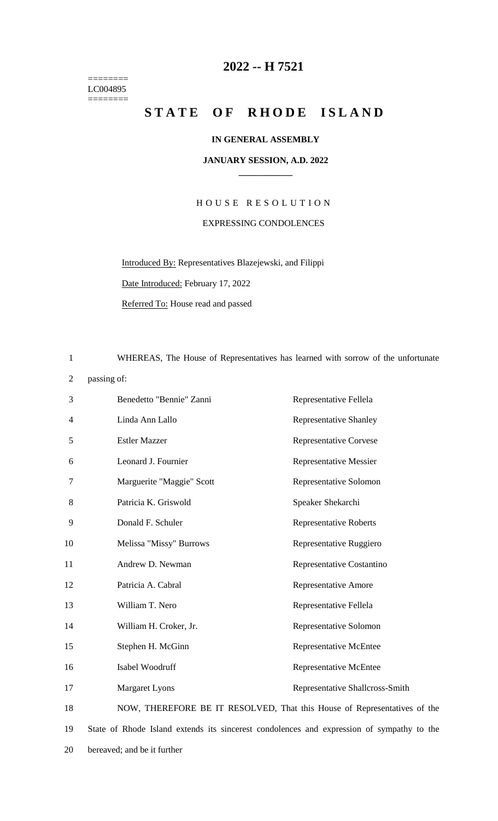======== LC004895  $=$ 

## **-- H 7521**

## STATE OF RHODE ISLAND

## **IN GENERAL ASSEMBLY**

## **JANUARY SESSION, A.D. 2022 \_\_\_\_\_\_\_\_\_\_\_\_**

H O U S E R E S O L U T I O N EXPRESSING CONDOLENCES

Introduced By: Representatives Blazejewski, and Filippi Date Introduced: February 17, 2022

Referred To: House read and passed

WHEREAS, The House of Representatives has learned with sorrow of the unfortunate

passing of:

| 3  | Benedetto "Bennie" Zanni                                                                  | Representative Fellela          |
|----|-------------------------------------------------------------------------------------------|---------------------------------|
| 4  | Linda Ann Lallo                                                                           | <b>Representative Shanley</b>   |
| 5  | <b>Estler Mazzer</b>                                                                      | <b>Representative Corvese</b>   |
| 6  | Leonard J. Fournier                                                                       | <b>Representative Messier</b>   |
| 7  | Marguerite "Maggie" Scott                                                                 | Representative Solomon          |
| 8  | Patricia K. Griswold                                                                      | Speaker Shekarchi               |
| 9  | Donald F. Schuler                                                                         | <b>Representative Roberts</b>   |
| 10 | Melissa "Missy" Burrows                                                                   | Representative Ruggiero         |
| 11 | Andrew D. Newman                                                                          | Representative Costantino       |
| 12 | Patricia A. Cabral                                                                        | <b>Representative Amore</b>     |
| 13 | William T. Nero                                                                           | Representative Fellela          |
| 14 | William H. Croker, Jr.                                                                    | Representative Solomon          |
| 15 | Stephen H. McGinn                                                                         | Representative McEntee          |
| 16 | Isabel Woodruff                                                                           | Representative McEntee          |
| 17 | <b>Margaret Lyons</b>                                                                     | Representative Shallcross-Smith |
| 18 | NOW, THEREFORE BE IT RESOLVED, That this House of Representatives of the                  |                                 |
| 19 | State of Rhode Island extends its sincerest condolences and expression of sympathy to the |                                 |
|    |                                                                                           |                                 |

bereaved; and be it further